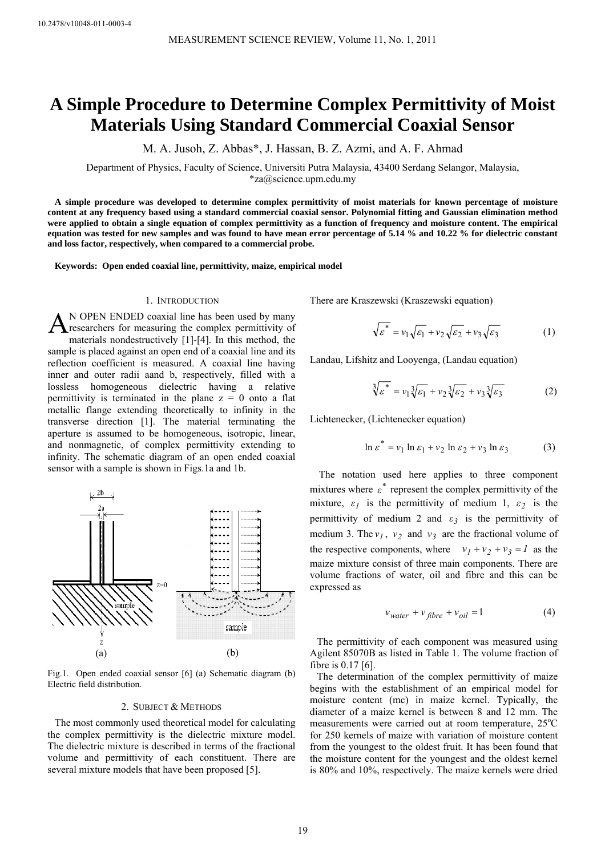# **A Simple Procedure to Determine Complex Permittivity of Moist Materials Using Standard Commercial Coaxial Sensor**

M. A. Jusoh, Z. Abbas\*, J. Hassan, B. Z. Azmi, and A. F. Ahmad

Department of Physics, Faculty of Science, Universiti Putra Malaysia, 43400 Serdang Selangor, Malaysia, \*za@science.upm.edu.my

**A simple procedure was developed to determine complex permittivity of moist materials for known percentage of moisture content at any frequency based using a standard commercial coaxial sensor. Polynomial fitting and Gaussian elimination method were applied to obtain a single equation of complex permittivity as a function of frequency and moisture content. The empirical equation was tested for new samples and was found to have mean error percentage of 5.14 % and 10.22 % for dielectric constant and loss factor, respectively, when compared to a commercial probe.** 

**Keywords: Open ended coaxial line, permittivity, maize, empirical model** 

## 1. INTRODUCTION

N OPEN ENDED coaxial line has been used by many researchers for measuring the complex permittivity of materials nondestructively [1]-[4]. In this method, the sample is placed against an open end of a coaxial line and its reflection coefficient is measured. A coaxial line having inner and outer radii aand b, respectively, filled with a lossless homogeneous dielectric having a relative permittivity is terminated in the plane  $z = 0$  onto a flat metallic flange extending theoretically to infinity in the transverse direction [1]. The material terminating the aperture is assumed to be homogeneous, isotropic, linear, and nonmagnetic, of complex permittivity extending to infinity. The schematic diagram of an open ended coaxial sensor with a sample is shown in Figs.1a and 1b. A



Fig.1. Open ended coaxial sensor [6] (a) Schematic diagram (b) Electric field distribution.

#### 2. SUBJECT & METHODS

The most commonly used theoretical model for calculating the complex permittivity is the dielectric mixture model. The dielectric mixture is described in terms of the fractional volume and permittivity of each constituent. There are several mixture models that have been proposed [5].

There are Kraszewski (Kraszewski equation)

$$
\sqrt{\varepsilon^*} = v_1 \sqrt{\varepsilon_1} + v_2 \sqrt{\varepsilon_2} + v_3 \sqrt{\varepsilon_3}
$$
 (1)

Landau, Lifshitz and Looyenga, (Landau equation)

$$
\sqrt[3]{\varepsilon^*} = v_1 \sqrt[3]{\varepsilon_1} + v_2 \sqrt[3]{\varepsilon_2} + v_3 \sqrt[3]{\varepsilon_3}
$$
 (2)

Lichtenecker, (Lichtenecker equation)

$$
\ln \varepsilon^* = v_1 \ln \varepsilon_1 + v_2 \ln \varepsilon_2 + v_3 \ln \varepsilon_3 \tag{3}
$$

The notation used here applies to three component mixtures where  $\varepsilon^*$  represent the complex permittivity of the mixture,  $\varepsilon_1$  is the permittivity of medium 1,  $\varepsilon_2$  is the permittivity of medium 2 and  $\varepsilon_3$  is the permittivity of medium 3. The  $v_1$ ,  $v_2$  and  $v_3$  are the fractional volume of the respective components, where  $v_1 + v_2 + v_3 = 1$  as the maize mixture consist of three main components. There are volume fractions of water, oil and fibre and this can be expressed as

$$
v_{water} + v_{fiber} + v_{oil} = 1
$$
 (4)

The permittivity of each component was measured using Agilent 85070B as listed in Table 1. The volume fraction of fibre is 0.17 [6].

The determination of the complex permittivity of maize begins with the establishment of an empirical model for moisture content (mc) in maize kernel. Typically, the diameter of a maize kernel is between 8 and 12 mm. The measurements were carried out at room temperature, 25°C for 250 kernels of maize with variation of moisture content from the youngest to the oldest fruit. It has been found that the moisture content for the youngest and the oldest kernel is 80% and 10%, respectively. The maize kernels were dried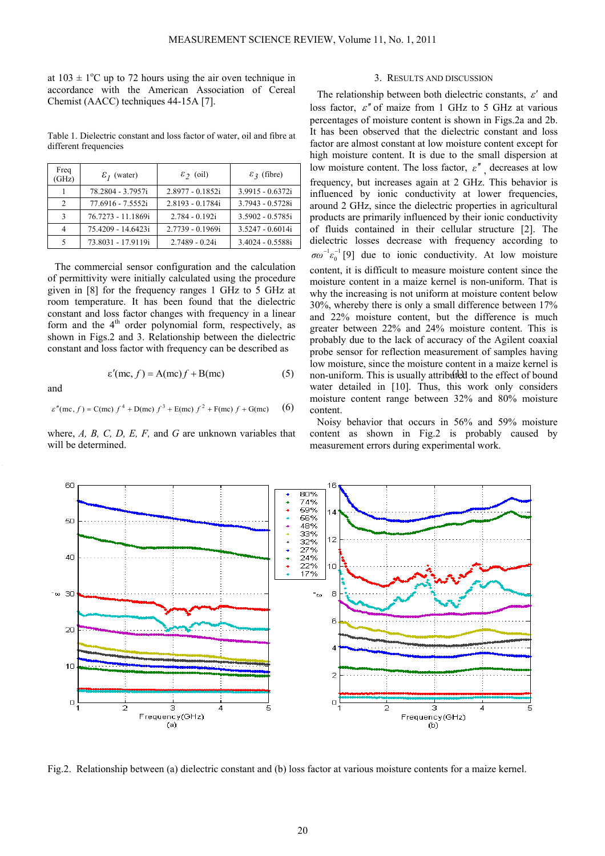at  $103 \pm 1$ <sup>o</sup>C up to 72 hours using the air oven technique in accordance with the American Association of Cereal Chemist (AACC) techniques 44-15A [7].

Table 1. Dielectric constant and loss factor of water, oil and fibre at different frequencies

| Freq<br>(GHz)  | $\mathcal{E}_I$ (water) | $\epsilon$ <sub>2</sub> (oil) | $\mathcal{E}_3$ (fibre) |
|----------------|-------------------------|-------------------------------|-------------------------|
|                | 78.2804 - 3.7957i       | $2.8977 - 0.1852i$            | 3.9915 - 0.6372i        |
| $\mathcal{D}$  | 77.6916 - 7.5552i       | 2.8193 - 0.1784i              | 3.7943 - 0.5728i        |
| $\mathcal{R}$  | 76.7273 - 11.1869i      | $2.784 - 0.192i$              | 3.5902 - 0.5785i        |
| $\overline{4}$ | 75.4209 - 14.6423i      | 2.7739 - 0.1969i              | $3.5247 - 0.6014i$      |
|                | 73.8031 - 17.9119i      | 2.7489 - 0.24i                | 3.4024 - 0.5588i        |

The commercial sensor configuration and the calculation of permittivity were initially calculated using the procedure given in [8] for the frequency ranges 1 GHz to 5 GHz at room temperature. It has been found that the dielectric constant and loss factor changes with frequency in a linear form and the  $4<sup>th</sup>$  order polynomial form, respectively, as shown in Figs.2 and 3. Relationship between the dielectric constant and loss factor with frequency can be described as

$$
\varepsilon'(\mathbf{mc}, f) = \mathbf{A}(\mathbf{mc})f + \mathbf{B}(\mathbf{mc})
$$
 (5)

$$
\varepsilon''(\text{mc}, f) = C(\text{mc}) f^4 + D(\text{mc}) f^3 + E(\text{mc}) f^2 + F(\text{mc}) f + G(\text{mc})
$$
 (6)

and

where, *A, B, C, D, E, F,* and *G* are unknown variables that will be determined.

## 3. RESULTS AND DISCUSSION

 $\varepsilon'(mc, f) = A(mc)f + B(mc)$  (5) non-uniform. This is usually attributed to the effect of bound The relationship between both dielectric constants,  $\varepsilon'$  and loss factor,  $\varepsilon''$  of maize from 1 GHz to 5 GHz at various percentages of moisture content is shown in Figs.2a and 2b. It has been observed that the dielectric constant and loss factor are almost constant at low moisture content except for high moisture content. It is due to the small dispersion at low moisture content. The loss factor,  $\varepsilon''$ , decreases at low frequency, but increases again at 2 GHz. This behavior is influenced by ionic conductivity at lower frequencies, around 2 GHz, since the dielectric properties in agricultural products are primarily influenced by their ionic conductivity of fluids contained in their cellular structure [2]. The dielectric losses decrease with frequency according to  $[9]$  due to ionic conductivity. At low moisture content, it is difficult to measure moisture content since the moisture content in a maize kernel is non-uniform. That is why the increasing is not uniform at moisture content below 30%, whereby there is only a small difference between 17% and 22% moisture content, but the difference is much greater between 22% and 24% moisture content. This is probably due to the lack of accuracy of the Agilent coaxial probe sensor for reflection measurement of samples having low moisture, since the moisture content in a maize kernel is water detailed in [10]. Thus, this work only considers moisture content range between 32% and 80% moisture content. 0  $\sigma \omega^{-1} \varepsilon_0^{-1}$ 

Noisy behavior that occurs in 56% and 59% moisture content as shown in Fig.2 is probably caused by measurement errors during experimental work.



Fig.2. Relationship between (a) dielectric constant and (b) loss factor at various moisture contents for a maize kernel.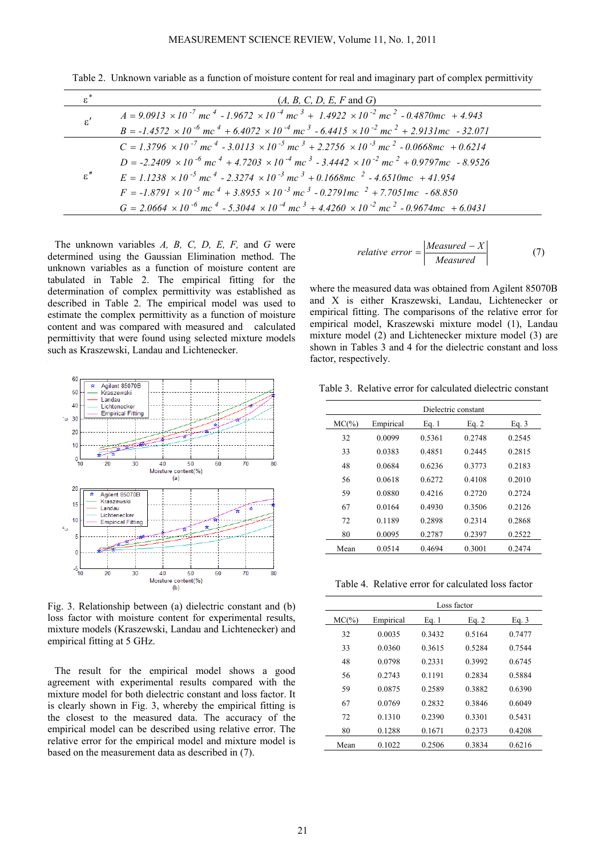| $\varepsilon^*$      | $(A, B, C, D, E, F \text{ and } G)$                                                                                                                      |
|----------------------|----------------------------------------------------------------------------------------------------------------------------------------------------------|
| $\varepsilon^\prime$ | $A = 9.0913 \times 10^{-7}$ mc <sup>4</sup> - 1.9672 $\times 10^{-4}$ mc <sup>3</sup> + 1.4922 $\times 10^{-2}$ mc <sup>2</sup> - 0.4870mc + 4.943       |
|                      | $B = -1.4572 \times 10^{-6}$ mc <sup>4</sup> + 6.4072 × 10 <sup>-4</sup> mc <sup>3</sup> - 6.4415 × 10 <sup>-2</sup> mc <sup>2</sup> + 2.9131mc - 32.071 |
| $\varepsilon''$      | $C = 1.3796 \times 10^{-7}$ mc <sup>4</sup> - 3.0113 $\times 10^{-5}$ mc <sup>3</sup> + 2.2756 $\times 10^{-3}$ mc <sup>2</sup> - 0.0668mc + 0.6214      |
|                      | $D = -2.2409 \times 10^{-6}$ mc $^4 + 4.7203 \times 10^{-4}$ mc $^3 - 3.4442 \times 10^{-2}$ mc $^2 + 0.9797$ mc $- 8.9526$                              |
|                      | $E = 1.1238 \times 10^{-5}$ mc <sup>4</sup> - 2.3274 $\times 10^{-3}$ mc <sup>3</sup> + 0.1668mc <sup>2</sup> - 4.6510mc + 41.954                        |
|                      | $F = -1.8791 \times 10^{-5}$ mc <sup>4</sup> + 3.8955 $\times 10^{-3}$ mc <sup>3</sup> - 0.2791 mc <sup>2</sup> + 7.7051 mc - 68.850                     |
|                      | $G = 2.0664 \times 10^{-6}$ mc <sup>4</sup> - 5.3044 $\times 10^{-4}$ mc <sup>3</sup> + 4.4260 $\times 10^{-2}$ mc <sup>2</sup> - 0.9674mc + 6.0431      |

Table 2. Unknown variable as a function of moisture content for real and imaginary part of complex permittivity

The unknown variables *A, B, C, D, E, F,* and *G* were determined using the Gaussian Elimination method. The unknown variables as a function of moisture content are tabulated in Table 2. The empirical fitting for the determination of complex permittivity was established as described in Table 2. The empirical model was used to estimate the complex permittivity as a function of moisture content and was compared with measured and calculated permittivity that were found using selected mixture models such as Kraszewski, Landau and Lichtenecker.



Fig. 3. Relationship between (a) dielectric constant and (b) loss factor with moisture content for experimental results, mixture models (Kraszewski, Landau and Lichtenecker) and empirical fitting at 5 GHz.

The result for the empirical model shows a good agreement with experimental results compared with the mixture model for both dielectric constant and loss factor. It is clearly shown in Fig. 3, whereby the empirical fitting is the closest to the measured data. The accuracy of the empirical model can be described using relative error. The relative error for the empirical model and mixture model is based on the measurement data as described in (7).

$$
relative\ error = \left| \frac{Measured - X}{Measured} \right| \tag{7}
$$

where the measured data was obtained from Agilent 85070B and X is either Kraszewski, Landau, Lichtenecker or empirical fitting. The comparisons of the relative error for empirical model, Kraszewski mixture model (1), Landau mixture model (2) and Lichtenecker mixture model (3) are shown in Tables 3 and 4 for the dielectric constant and loss factor, respectively.

Table 3. Relative error for calculated dielectric constant

|       | Dielectric constant |        |         |         |  |
|-------|---------------------|--------|---------|---------|--|
| MC(%) | Empirical           | Eq. 1  | Eq. $2$ | Eq. $3$ |  |
| 32    | 0.0099              | 0.5361 | 0.2748  | 0.2545  |  |
| 33    | 0.0383              | 0.4851 | 0.2445  | 0.2815  |  |
| 48    | 0.0684              | 0.6236 | 0.3773  | 0.2183  |  |
| 56    | 0.0618              | 0.6272 | 0.4108  | 0.2010  |  |
| 59    | 0.0880              | 0.4216 | 0.2720  | 0.2724  |  |
| 67    | 0.0164              | 0.4930 | 0.3506  | 0.2126  |  |
| 72    | 0.1189              | 0.2898 | 0.2314  | 0.2868  |  |
| 80    | 0.0095              | 0.2787 | 0.2397  | 0.2522  |  |
| Mean  | 0.0514              | 0.4694 | 0.3001  | 0.2474  |  |
|       |                     |        |         |         |  |

Table 4. Relative error for calculated loss factor

|          | Loss factor |        |         |         |  |
|----------|-------------|--------|---------|---------|--|
| $MC(\%)$ | Empirical   | Eq. 1  | Eq. $2$ | Eq. $3$ |  |
| 32       | 0.0035      | 0.3432 | 0.5164  | 0.7477  |  |
| 33       | 0.0360      | 0.3615 | 0.5284  | 0.7544  |  |
| 48       | 0.0798      | 0.2331 | 0.3992  | 0.6745  |  |
| 56       | 0.2743      | 0.1191 | 0.2834  | 0.5884  |  |
| 59       | 0.0875      | 0.2589 | 0.3882  | 0.6390  |  |
| 67       | 0.0769      | 0.2832 | 0.3846  | 0.6049  |  |
| 72       | 0.1310      | 0.2390 | 0.3301  | 0.5431  |  |
| 80       | 0.1288      | 0.1671 | 0.2373  | 0.4208  |  |
| Mean     | 0.1022      | 0.2506 | 0.3834  | 0.6216  |  |